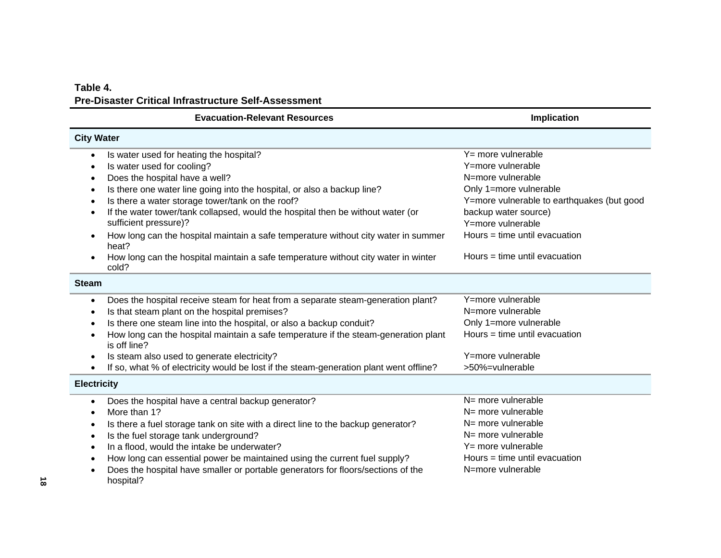## **Table 4. Pre-Disaster Critical Infrastructure Self-Assessment**

# **Evacuation-Relevant Resources Implication Implication**

| <b>City Water</b>                                                                                                |                                            |
|------------------------------------------------------------------------------------------------------------------|--------------------------------------------|
| Is water used for heating the hospital?                                                                          | $Y = more$ vulnerable                      |
| Is water used for cooling?                                                                                       | Y=more vulnerable                          |
| Does the hospital have a well?<br>$\bullet$                                                                      | N=more vulnerable                          |
| Is there one water line going into the hospital, or also a backup line?<br>$\bullet$                             | Only 1=more vulnerable                     |
| Is there a water storage tower/tank on the roof?                                                                 | Y=more vulnerable to earthquakes (but good |
| If the water tower/tank collapsed, would the hospital then be without water (or<br>$\bullet$                     | backup water source)                       |
| sufficient pressure)?                                                                                            | Y=more vulnerable                          |
| How long can the hospital maintain a safe temperature without city water in summer<br>heat?                      | Hours = time until evacuation              |
| How long can the hospital maintain a safe temperature without city water in winter<br>cold?                      | Hours = time until evacuation              |
| <b>Steam</b>                                                                                                     |                                            |
| Does the hospital receive steam for heat from a separate steam-generation plant?<br>$\bullet$                    | Y=more vulnerable                          |
| Is that steam plant on the hospital premises?<br>٠                                                               | N=more vulnerable                          |
| Is there one steam line into the hospital, or also a backup conduit?<br>٠                                        | Only 1=more vulnerable                     |
| How long can the hospital maintain a safe temperature if the steam-generation plant<br>$\bullet$<br>is off line? | Hours = time until evacuation              |
| Is steam also used to generate electricity?<br>٠                                                                 | Y=more vulnerable                          |
| If so, what % of electricity would be lost if the steam-generation plant went offline?                           | >50%=vulnerable                            |
| <b>Electricity</b>                                                                                               |                                            |
| Does the hospital have a central backup generator?                                                               | N= more vulnerable                         |
| More than 1?                                                                                                     | $N =$ more vulnerable                      |
| Is there a fuel storage tank on site with a direct line to the backup generator?<br>$\bullet$                    | N= more vulnerable                         |
| Is the fuel storage tank underground?<br>٠                                                                       | $N =$ more vulnerable                      |
| In a flood, would the intake be underwater?<br>$\bullet$                                                         | $Y = more vulnerable$                      |
| How long can essential power be maintained using the current fuel supply?                                        | Hours = time until evacuation              |
| Does the hospital have smaller or portable generators for floors/sections of the<br>$\bullet$                    | N=more vulnerable                          |

hospital?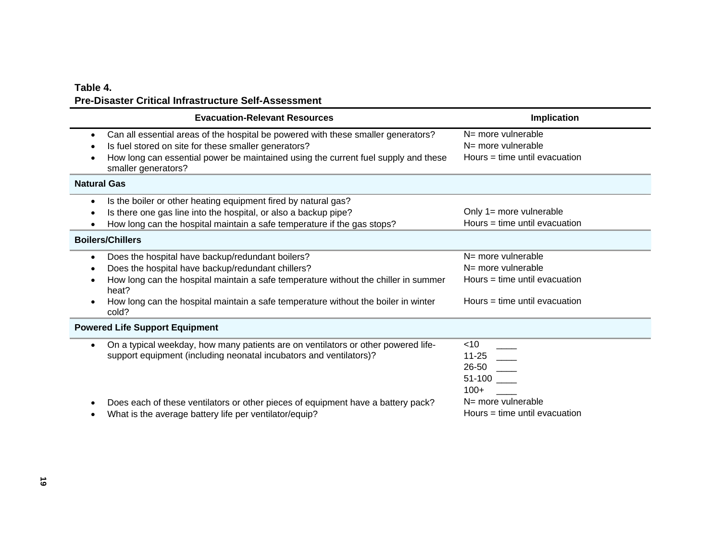### **Table 4. Pre-Disaster Critical Infrastructure Self-Assessment**

| <b>Evacuation-Relevant Resources</b>                                                                                                                                                                                                                                                                              | Implication                                                                                                       |
|-------------------------------------------------------------------------------------------------------------------------------------------------------------------------------------------------------------------------------------------------------------------------------------------------------------------|-------------------------------------------------------------------------------------------------------------------|
| Can all essential areas of the hospital be powered with these smaller generators?<br>$\bullet$<br>Is fuel stored on site for these smaller generators?<br>How long can essential power be maintained using the current fuel supply and these<br>smaller generators?                                               | N= more vulnerable<br>$N =$ more vulnerable<br>Hours $=$ time until evacuation                                    |
| <b>Natural Gas</b>                                                                                                                                                                                                                                                                                                |                                                                                                                   |
| Is the boiler or other heating equipment fired by natural gas?<br>$\bullet$<br>Is there one gas line into the hospital, or also a backup pipe?<br>$\bullet$<br>How long can the hospital maintain a safe temperature if the gas stops?                                                                            | Only 1= more vulnerable<br>Hours = time until evacuation                                                          |
| <b>Boilers/Chillers</b>                                                                                                                                                                                                                                                                                           |                                                                                                                   |
| Does the hospital have backup/redundant boilers?<br>$\bullet$<br>Does the hospital have backup/redundant chillers?<br>How long can the hospital maintain a safe temperature without the chiller in summer<br>heat?<br>How long can the hospital maintain a safe temperature without the boiler in winter<br>cold? | N= more vulnerable<br>$N =$ more vulnerable<br>Hours $=$ time until evacuation<br>Hours $=$ time until evacuation |
| <b>Powered Life Support Equipment</b>                                                                                                                                                                                                                                                                             |                                                                                                                   |
| On a typical weekday, how many patients are on ventilators or other powered life-<br>$\bullet$<br>support equipment (including neonatal incubators and ventilators)?                                                                                                                                              | $<$ 10<br>$11 - 25$<br>26-50<br>51-100<br>$100+$                                                                  |
| Does each of these ventilators or other pieces of equipment have a battery pack?<br>What is the average battery life per ventilator/equip?                                                                                                                                                                        | N= more vulnerable<br>Hours $=$ time until evacuation                                                             |